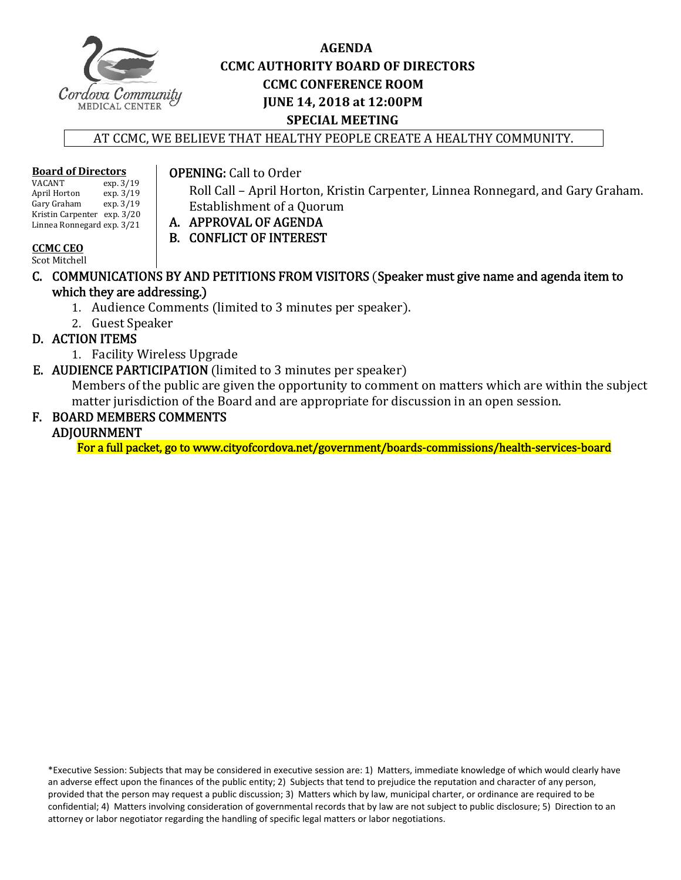

# **AGENDA CCMC AUTHORITY BOARD OF DIRECTORS CCMC CONFERENCE ROOM JUNE 14, 2018 at 12:00PM SPECIAL MEETING**

AT CCMC, WE BELIEVE THAT HEALTHY PEOPLE CREATE A HEALTHY COMMUNITY.

# **Board of Directors**

 $\exp. 3/19$ <br> $\exp. 3/19$ April Horton exp. 3/19<br>
Gary Graham exp. 3/19 Gary Graham Kristin Carpenter exp. 3/20 Linnea Ronnegard exp. 3/21 

#### **OPENING:** Call to Order

Roll Call – April Horton, Kristin Carpenter, Linnea Ronnegard, and Gary Graham. Establishment of a Quorum

- A. APPROVAL OF AGENDA
	- B. CONFLICT OF INTEREST

#### **CCMC CEO**

Scot Mitchell

- C. COMMUNICATIONS BY AND PETITIONS FROM VISITORS (Speaker must give name and agenda item to which they are addressing.)
	- 1. Audience Comments (limited to 3 minutes per speaker).
	- 2. Guest Speaker

## D. ACTION ITEMS

- 1. Facility Wireless Upgrade
- E. AUDIENCE PARTICIPATION (limited to 3 minutes per speaker)

Members of the public are given the opportunity to comment on matters which are within the subject matter jurisdiction of the Board and are appropriate for discussion in an open session.

# F. BOARD MEMBERS COMMENTS

## ADJOURNMENT

For a full packet, go to www.cityofcordova.net/government/boards-commissions/health-services-board

\*Executive Session: Subjects that may be considered in executive session are: 1) Matters, immediate knowledge of which would clearly have an adverse effect upon the finances of the public entity; 2) Subjects that tend to prejudice the reputation and character of any person, provided that the person may request a public discussion; 3) Matters which by law, municipal charter, or ordinance are required to be confidential; 4) Matters involving consideration of governmental records that by law are not subject to public disclosure; 5) Direction to an attorney or labor negotiator regarding the handling of specific legal matters or labor negotiations.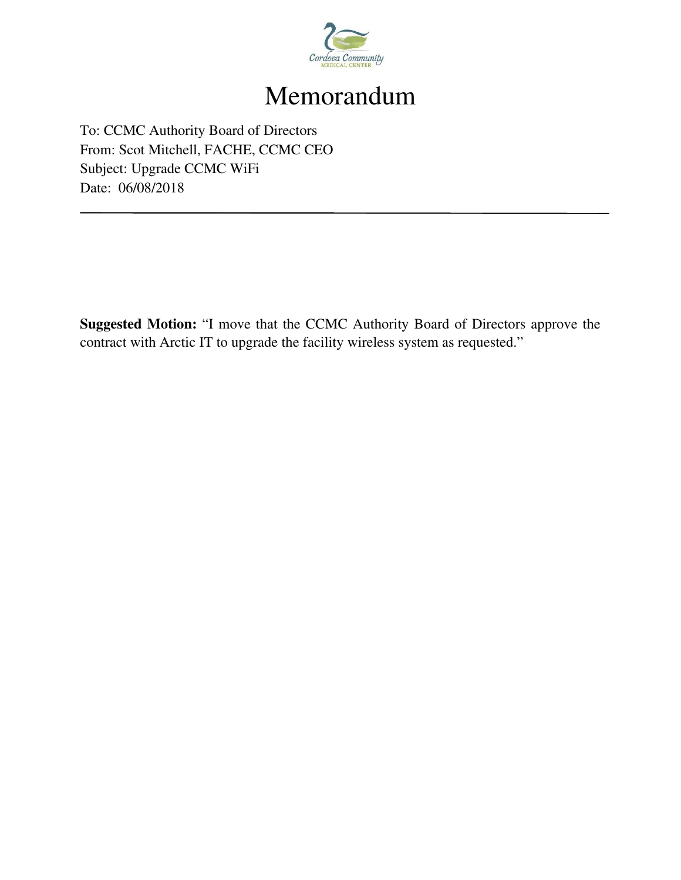

# Memorandum

To: CCMC Authority Board of Directors From: Scot Mitchell, FACHE, CCMC CEO Subject: Upgrade CCMC WiFi Date: 06/08/2018

**Suggested Motion:** "I move that the CCMC Authority Board of Directors approve the contract with Arctic IT to upgrade the facility wireless system as requested."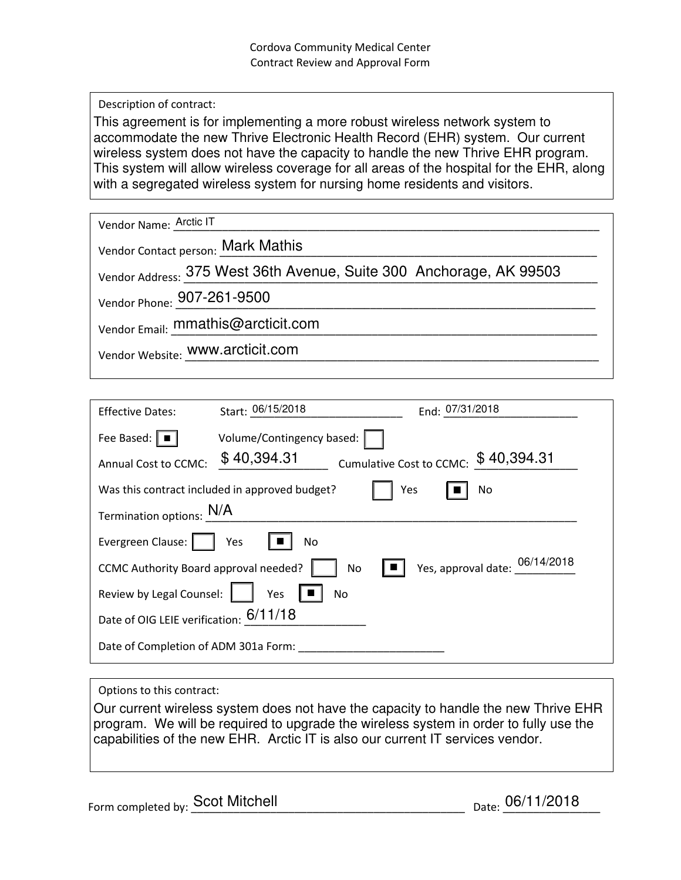Description of contract:

This agreement is for implementing a more robust wireless network system to accommodate the new Thrive Electronic Health Record (EHR) system. Our current wireless system does not have the capacity to handle the new Thrive EHR program. This system will allow wireless coverage for all areas of the hospital for the EHR, along with a segregated wireless system for nursing home residents and visitors.

| Vendor Name: Arctic IT                                              |
|---------------------------------------------------------------------|
| Vendor Contact person: Mark Mathis                                  |
| Vendor Address: 375 West 36th Avenue, Suite 300 Anchorage, AK 99503 |
| Vendor Phone: 907-261-9500                                          |
| Vendor Email: mmathis@arcticit.com                                  |
| Vendor Website: WWW.arcticit.com                                    |
|                                                                     |

| <b>Effective Dates:</b>                                      | Start: 06/15/2018         |  | End: 07/31/2018                      |  |  |
|--------------------------------------------------------------|---------------------------|--|--------------------------------------|--|--|
| Fee Based: $\boxed{\blacksquare}$                            | Volume/Contingency based: |  |                                      |  |  |
| Annual Cost to CCMC:                                         | \$40,394.31               |  | Cumulative Cost to CCMC: \$40,394.31 |  |  |
| Was this contract included in approved budget?<br>Yes<br>No. |                           |  |                                      |  |  |
| Termination options: N/A                                     |                           |  |                                      |  |  |
| Evergreen Clause:                                            | Yes<br>No.                |  |                                      |  |  |
| CCMC Authority Board approval needed?                        | No                        |  | Yes, approval date: $06/14/2018$     |  |  |
| Review by Legal Counsel:                                     | Yes<br>No                 |  |                                      |  |  |
| Date of OIG LEIE verification: 6/11/18                       |                           |  |                                      |  |  |
| Date of Completion of ADM 301a Form:                         |                           |  |                                      |  |  |

#### Options to this contract:

Our current wireless system does not have the capacity to handle the new Thrive EHR program. We will be required to upgrade the wireless system in order to fully use the capabilities of the new EHR. Arctic IT is also our current IT services vendor.